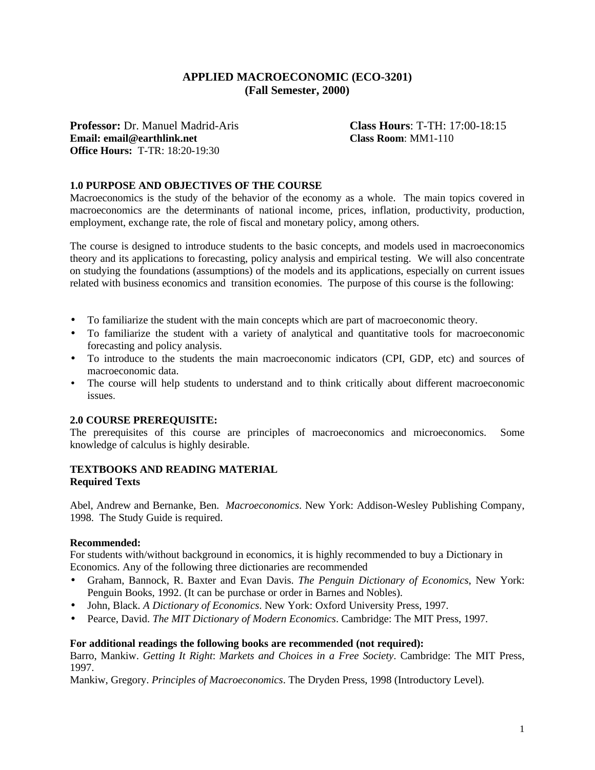# **APPLIED MACROECONOMIC (ECO-3201) (Fall Semester, 2000)**

**Professor:** Dr. Manuel Madrid-Aris **Class Hours**: T-TH: 17:00-18:15 **Email: email@earthlink.net Class Room**: MM1-110 **Office Hours:** T-TR: 18:20-19:30

### **1.0 PURPOSE AND OBJECTIVES OF THE COURSE**

Macroeconomics is the study of the behavior of the economy as a whole. The main topics covered in macroeconomics are the determinants of national income, prices, inflation, productivity, production, employment, exchange rate, the role of fiscal and monetary policy, among others.

The course is designed to introduce students to the basic concepts, and models used in macroeconomics theory and its applications to forecasting, policy analysis and empirical testing. We will also concentrate on studying the foundations (assumptions) of the models and its applications, especially on current issues related with business economics and transition economies. The purpose of this course is the following:

- To familiarize the student with the main concepts which are part of macroeconomic theory.
- To familiarize the student with a variety of analytical and quantitative tools for macroeconomic forecasting and policy analysis.
- To introduce to the students the main macroeconomic indicators (CPI, GDP, etc) and sources of macroeconomic data.
- The course will help students to understand and to think critically about different macroeconomic issues.

#### **2.0 COURSE PREREQUISITE:**

The prerequisites of this course are principles of macroeconomics and microeconomics. Some knowledge of calculus is highly desirable.

#### **TEXTBOOKS AND READING MATERIAL Required Texts**

Abel, Andrew and Bernanke, Ben. *Macroeconomics*. New York: Addison-Wesley Publishing Company, 1998. The Study Guide is required.

#### **Recommended:**

For students with/without background in economics, it is highly recommended to buy a Dictionary in Economics. Any of the following three dictionaries are recommended

- Graham, Bannock, R. Baxter and Evan Davis. *The Penguin Dictionary of Economics*, New York: Penguin Books, 1992. (It can be purchase or order in Barnes and Nobles).
- John, Black. *A Dictionary of Economics*. New York: Oxford University Press, 1997.
- Pearce, David. *The MIT Dictionary of Modern Economics*. Cambridge: The MIT Press, 1997.

#### **For additional readings the following books are recommended (not required):**

Barro, Mankiw. *Getting It Right*: *Markets and Choices in a Free Society*. Cambridge: The MIT Press, 1997.

Mankiw, Gregory. *Principles of Macroeconomics*. The Dryden Press, 1998 (Introductory Level).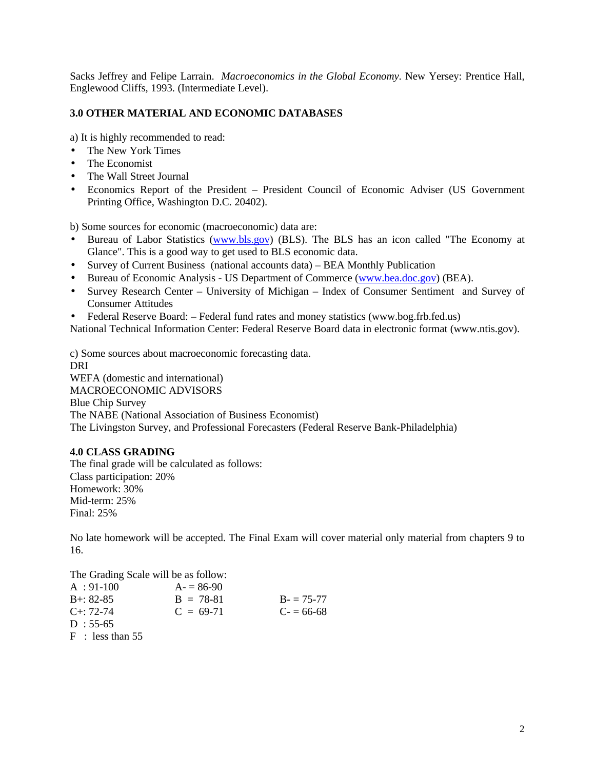Sacks Jeffrey and Felipe Larrain. *Macroeconomics in the Global Economy*. New Yersey: Prentice Hall, Englewood Cliffs, 1993. (Intermediate Level).

## **3.0 OTHER MATERIAL AND ECONOMIC DATABASES**

a) It is highly recommended to read:

- The New York Times
- The Economist
- The Wall Street Journal
- Economics Report of the President President Council of Economic Adviser (US Government Printing Office, Washington D.C. 20402).

b) Some sources for economic (macroeconomic) data are:

- Bureau of Labor Statistics (www.bls.gov) (BLS). The BLS has an icon called "The Economy at Glance". This is a good way to get used to BLS economic data.
- Survey of Current Business (national accounts data) BEA Monthly Publication
- Bureau of Economic Analysis US Department of Commerce (www.bea.doc.gov) (BEA).
- Survey Research Center University of Michigan Index of Consumer Sentiment and Survey of Consumer Attitudes
- Federal Reserve Board: Federal fund rates and money statistics (www.bog.frb.fed.us)

National Technical Information Center: Federal Reserve Board data in electronic format (www.ntis.gov).

c) Some sources about macroeconomic forecasting data. DRI WEFA (domestic and international) MACROECONOMIC ADVISORS Blue Chip Survey The NABE (National Association of Business Economist) The Livingston Survey, and Professional Forecasters (Federal Reserve Bank-Philadelphia)

## **4.0 CLASS GRADING**

The final grade will be calculated as follows: Class participation: 20% Homework: 30% Mid-term: 25% Final: 25%

No late homework will be accepted. The Final Exam will cover material only material from chapters 9 to 16.

The Grading Scale will be as follow:

| $A: 91-100$     | $A = 86-90$ |             |
|-----------------|-------------|-------------|
| $B + 82 - 85$   | $B = 78-81$ | $B = 75-77$ |
| $C_{+}$ : 72-74 | $C = 69-71$ | $C = 66-68$ |
| $D: 55-65$      |             |             |

F : less than 55